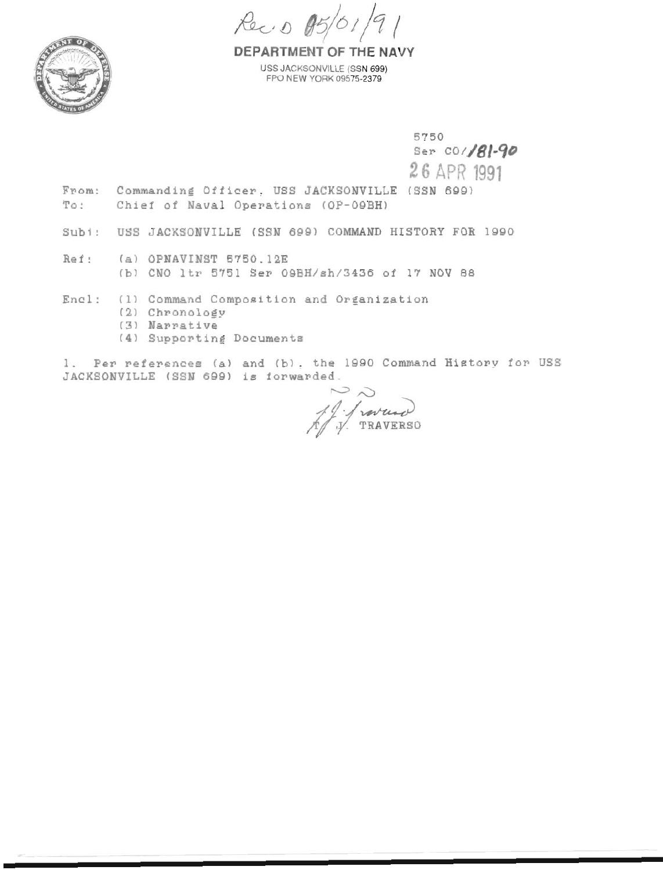Rec. 0 05/01/91



DEPARTMENT OF THE NAVY USS JACKSONVILLE (SSN 699) FPO NEW YORK 09575-2379

5750 Ser CO/181-90

26 APR 1991

- From: Commanding Officer, USS JACKSONVILLE (SSN 699) To: Chief of Naval Operations (OP-09BH)
- Subi: USS JACKSONVILLE (SSN 699) COMMAND HISTORY FOR 1990
- Ref: (a) OPNAVINST 5750.12E (b) CNO 1tr 5751 Ser 09BH/sh/3436 of 17 NOV 88
- (1) Command Composition and Organization Encl:
	- (2) Chronology
	- (3) Narrative
	- (4) Supporting Documents

1. Per references (a) and (b), the 1990 Command History for USS JACKSONVILLE (SSN 699) is forwarded.

 $\sim$   $\sim$ 19 / ravendo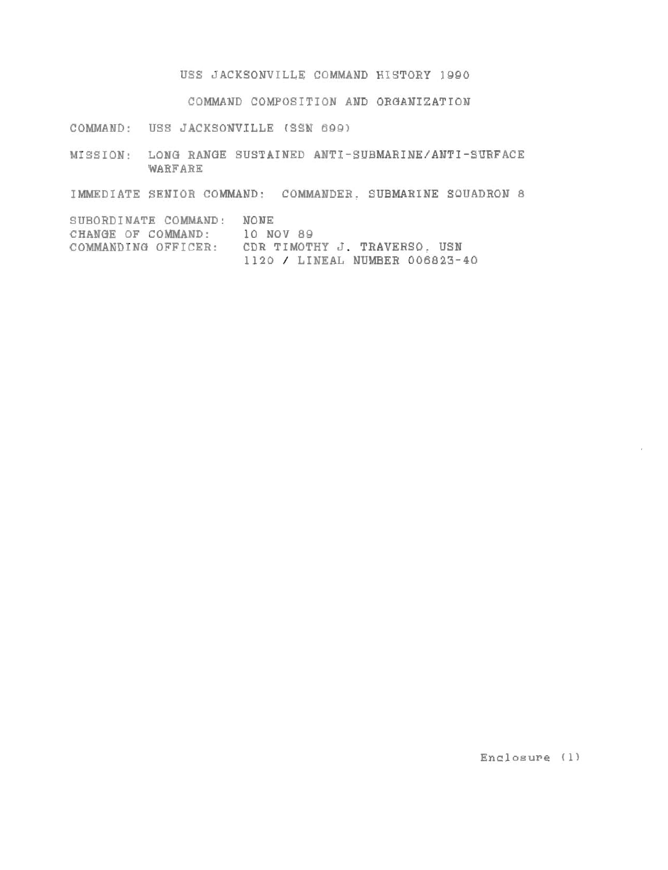**USS JACKSONVILLE COMMAND HISTORY 1990** 

**COMMAND COMPOSITION AMD ORaAMIZATION** 

**COMMAND: USS JACKSONVILLE (SSM 689)** 

**MISSION: LONa RANeE SUSTAINED ANTI-SUBMARINE/ANTI-SURFACE WARFARE** 

**IMMEDIATE SENIOR COMMAND: COMMANDER. SUBMARINE SQUADRON 8** 

**SUBORDINATE COWAAND: NONE CHANGE OF COMMAND: 10 NOV 89 COMMANDINU OFFICER: CDR TIMOTHY J. TRAVERSO. USN <sup>1120</sup>**/ **LINEAL NUMBER 006823-40** 

Enclosure (1)